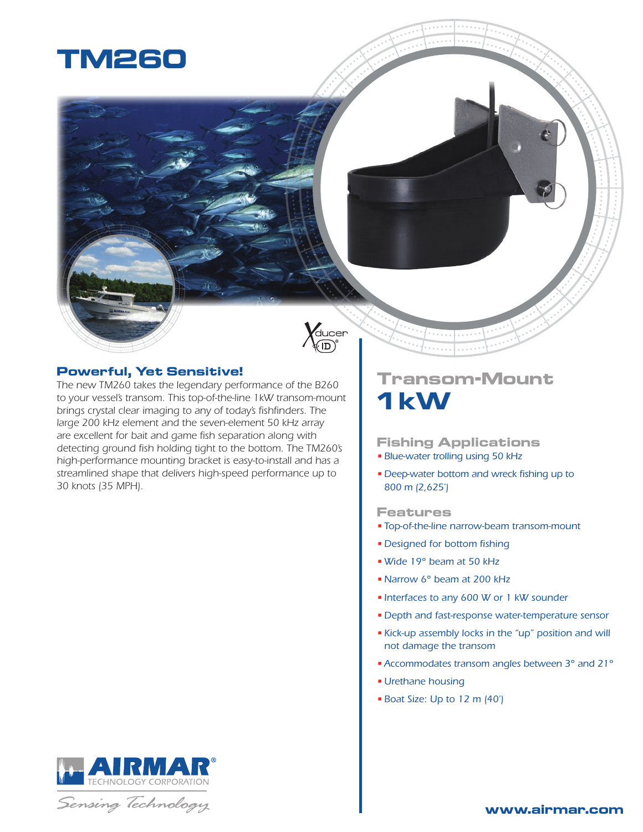



### **Powerful, Yet Sensitive!**

*The new TM260 takes the legendary performance of the B260 to your vessel's transom. This top-of-the-line 1kW transom-mount brings crystal clear imaging to any of today's fishfinders. The large 200 kHz element and the seven-element 50 kHz array are excellent for bait and game fish separation along with detecting ground fish holding tight to the bottom. The TM260's high-performance mounting bracket is easy-to-install and has a streamlined shape that delivers high-speed performance up to 30 knots (35 MPH).*

## RMA **TECHNOLOGY CORPORATION**

## Sensing Technology

# **Transom-Mount 1 kW**

#### **Fishing Applications**

- *• Blue-water trolling using 50 kHz*
- *• Deep-water bottom and wreck fishing up to 800 m (2,625')*

#### **Features**

- *• Top-of-the-line narrow-beam transom-mount*
- *• Designed for bottom fishing*
- *•Wide 19° beam at 50 kHz*
- *•Narrow 6° beam at 200 kHz*
- *• Interfaces to any 600 W or 1 kW sounder*
- *• Depth and fast-response water-temperature sensor*
- *• Kick-up assembly locks in the "up" position and will not damage the transom*
- *•Accommodates transom angles between 3° and 21°*
- *• Urethane housing*
- *• Boat Size: Up to 12 m (40')*